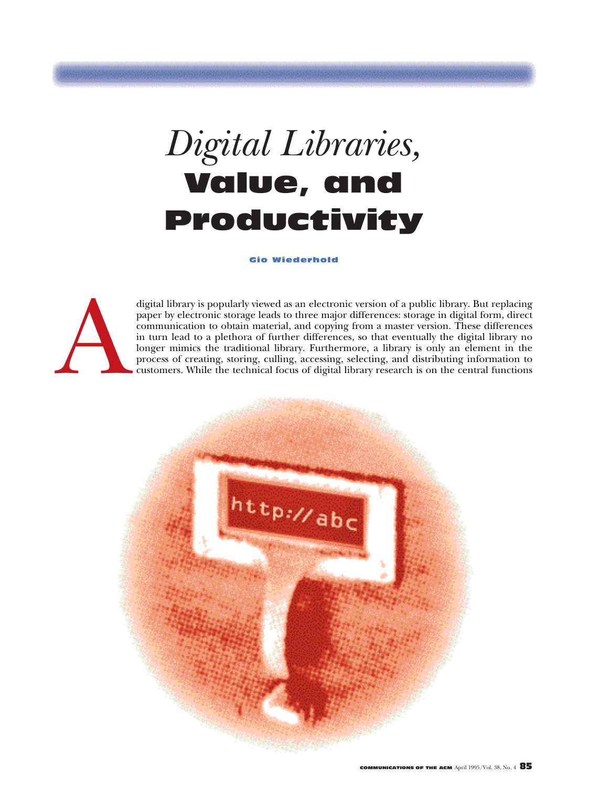# *Digital Libraries,* Value, and Productivity

#### Gio Wiederhold



digital library is popularly viewed as an electronic version of a public library. But replacing paper by electronic storage leads to three major differences: storage in digital form, direct communication to obtain material paper by electronic storage leads to three major differences: storage in digital form, direct communication to obtain material, and copying from a master version. These differences in turn lead to a plethora of further differences, so that eventually the digital library no longer mimics the traditional library. Furthermore, a library is only an element in the process of creating, storing, culling, accessing, selecting, and distributing information to customers. While the technical focus of digital library research is on the central functions

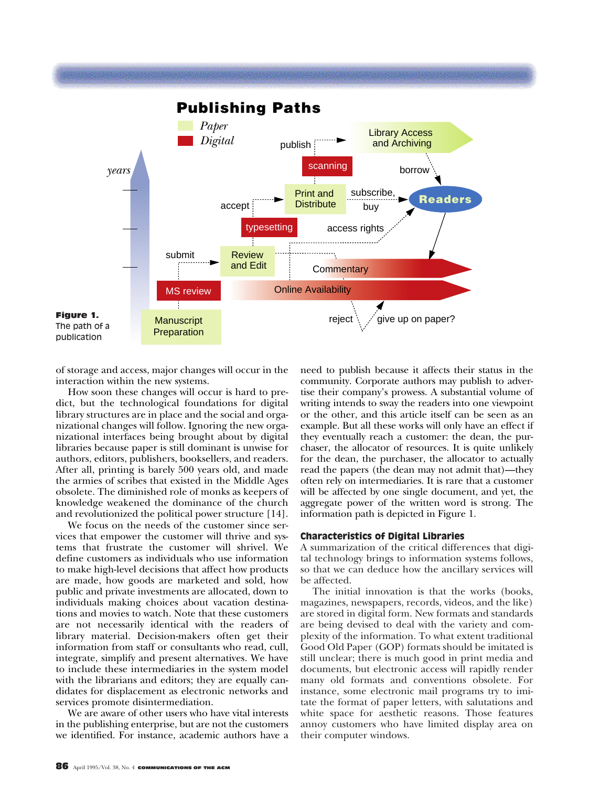

of storage and access, major changes will occur in the interaction within the new systems.

How soon these changes will occur is hard to predict, but the technological foundations for digital library structures are in place and the social and organizational changes will follow. Ignoring the new organizational interfaces being brought about by digital libraries because paper is still dominant is unwise for authors, editors, publishers, booksellers, and readers. After all, printing is barely 500 years old, and made the armies of scribes that existed in the Middle Ages obsolete. The diminished role of monks as keepers of knowledge weakened the dominance of the church and revolutionized the political power structure [14].

We focus on the needs of the customer since services that empower the customer will thrive and systems that frustrate the customer will shrivel. We define customers as individuals who use information to make high-level decisions that affect how products are made, how goods are marketed and sold, how public and private investments are allocated, down to individuals making choices about vacation destinations and movies to watch. Note that these customers are not necessarily identical with the readers of library material. Decision-makers often get their information from staff or consultants who read, cull, integrate, simplify and present alternatives. We have to include these intermediaries in the system model with the librarians and editors; they are equally candidates for displacement as electronic networks and services promote disintermediation.

We are aware of other users who have vital interests in the publishing enterprise, but are not the customers we identified. For instance, academic authors have a

need to publish because it affects their status in the community. Corporate authors may publish to advertise their company's prowess. A substantial volume of writing intends to sway the readers into one viewpoint or the other, and this article itself can be seen as an example. But all these works will only have an effect if they eventually reach a customer: the dean, the purchaser, the allocator of resources. It is quite unlikely for the dean, the purchaser, the allocator to actually read the papers (the dean may not admit that)—they often rely on intermediaries. It is rare that a customer will be affected by one single document, and yet, the aggregate power of the written word is strong. The information path is depicted in Figure 1.

#### Characteristics of Digital Libraries

A summarization of the critical differences that digital technology brings to information systems follows, so that we can deduce how the ancillary services will be affected.

The initial innovation is that the works (books, magazines, newspapers, records, videos, and the like) are stored in digital form. New formats and standards are being devised to deal with the variety and complexity of the information. To what extent traditional Good Old Paper (GOP) formats should be imitated is still unclear; there is much good in print media and documents, but electronic access will rapidly render many old formats and conventions obsolete. For instance, some electronic mail programs try to imitate the format of paper letters, with salutations and white space for aesthetic reasons. Those features annoy customers who have limited display area on their computer windows.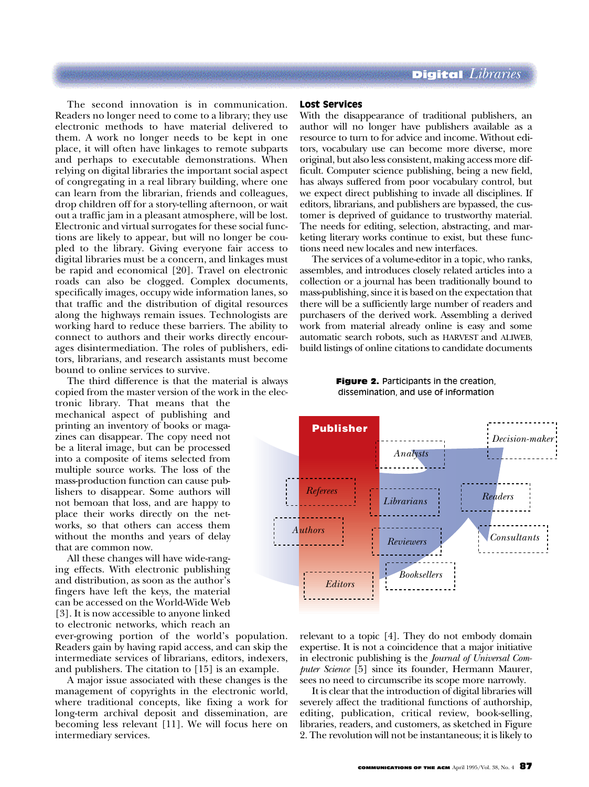The second innovation is in communication. Readers no longer need to come to a library; they use electronic methods to have material delivered to them. A work no longer needs to be kept in one place, it will often have linkages to remote subparts and perhaps to executable demonstrations. When relying on digital libraries the important social aspect of congregating in a real library building, where one can learn from the librarian, friends and colleagues, drop children off for a story-telling afternoon, or wait out a traffic jam in a pleasant atmosphere, will be lost. Electronic and virtual surrogates for these social functions are likely to appear, but will no longer be coupled to the library. Giving everyone fair access to digital libraries must be a concern, and linkages must be rapid and economical [20]. Travel on electronic roads can also be clogged. Complex documents, specifically images, occupy wide information lanes, so that traffic and the distribution of digital resources along the highways remain issues. Technologists are working hard to reduce these barriers. The ability to connect to authors and their works directly encourages disintermediation. The roles of publishers, editors, librarians, and research assistants must become bound to online services to survive.

The third difference is that the material is always copied from the master version of the work in the elec-

tronic library. That means that the mechanical aspect of publishing and printing an inventory of books or magazines can disappear. The copy need not be a literal image, but can be processed into a composite of items selected from multiple source works. The loss of the mass-production function can cause publishers to disappear. Some authors will not bemoan that loss, and are happy to place their works directly on the networks, so that others can access them without the months and years of delay that are common now.

All these changes will have wide-ranging effects. With electronic publishing and distribution, as soon as the author's fingers have left the keys, the material can be accessed on the World-Wide Web [3]. It is now accessible to anyone linked to electronic networks, which reach an

ever-growing portion of the world's population. Readers gain by having rapid access, and can skip the intermediate services of librarians, editors, indexers, and publishers. The citation to [15] is an example.

A major issue associated with these changes is the management of copyrights in the electronic world, where traditional concepts, like fixing a work for long-term archival deposit and dissemination, are becoming less relevant [11]. We will focus here on intermediary services.

#### Lost Services

With the disappearance of traditional publishers, an author will no longer have publishers available as a resource to turn to for advice and income. Without editors, vocabulary use can become more diverse, more original, but also less consistent, making access more difficult. Computer science publishing, being a new field, has always suffered from poor vocabulary control, but we expect direct publishing to invade all disciplines. If editors, librarians, and publishers are bypassed, the customer is deprived of guidance to trustworthy material. The needs for editing, selection, abstracting, and marketing literary works continue to exist, but these functions need new locales and new interfaces.

The services of a volume-editor in a topic, who ranks, assembles, and introduces closely related articles into a collection or a journal has been traditionally bound to mass-publishing, since it is based on the expectation that there will be a sufficiently large number of readers and purchasers of the derived work. Assembling a derived work from material already online is easy and some automatic search robots, such as HARVEST and ALIWEB, build listings of online citations to candidate documents

> **Figure 2.** Participants in the creation, dissemination, and use of information



relevant to a topic [4]. They do not embody domain expertise. It is not a coincidence that a major initiative in electronic publishing is the *Journal of Universal Computer Science* [5] since its founder, Hermann Maurer, sees no need to circumscribe its scope more narrowly.

It is clear that the introduction of digital libraries will severely affect the traditional functions of authorship, editing, publication, critical review, book-selling, libraries, readers, and customers, as sketched in Figure 2. The revolution will not be instantaneous; it is likely to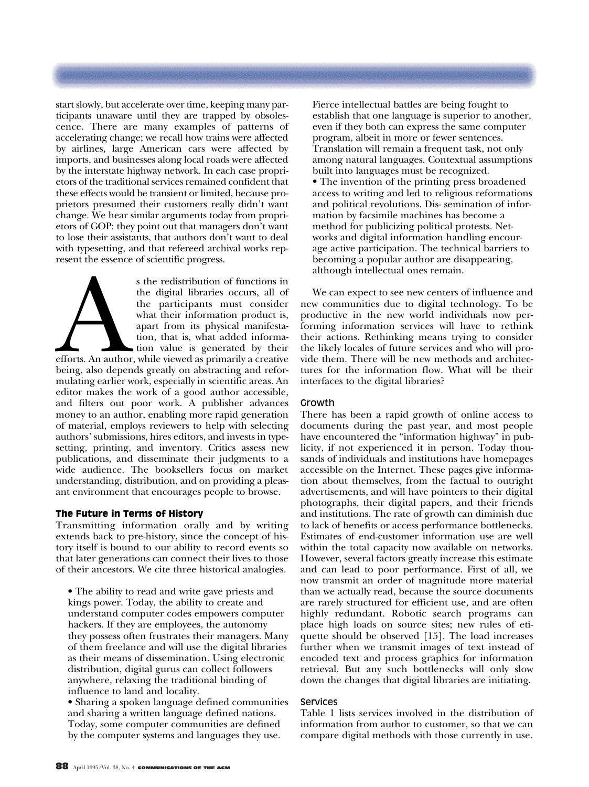start slowly, but accelerate over time, keeping many participants unaware until they are trapped by obsolescence. There are many examples of patterns of accelerating change; we recall how trains were affected by airlines, large American cars were affected by imports, and businesses along local roads were affected by the interstate highway network. In each case proprietors of the traditional services remained confident that these effects would be transient or limited, because proprietors presumed their customers really didn't want change. We hear similar arguments today from proprietors of GOP: they point out that managers don't want to lose their assistants, that authors don't want to deal with typesetting, and that refereed archival works represent the essence of scientific progress.

s the redistribution of functions in<br>the digital libraries occurs, all of<br>the participants must consider<br>what their information product is,<br>apart from its physical manifesta-<br>tion, that is, what added informa-<br>tion value i the digital libraries occurs, all of the participants must consider what their information product is, apart from its physical manifestation, that is, what added information value is generated by their

efforts. An author, while viewed as primarily a creative being, also depends greatly on abstracting and reformulating earlier work, especially in scientific areas. An editor makes the work of a good author accessible, and filters out poor work. A publisher advances money to an author, enabling more rapid generation of material, employs reviewers to help with selecting authors' submissions, hires editors, and invests in typesetting, printing, and inventory. Critics assess new publications, and disseminate their judgments to a wide audience. The booksellers focus on market understanding, distribution, and on providing a pleasant environment that encourages people to browse.

## The Future in Terms of History

Transmitting information orally and by writing extends back to pre-history, since the concept of history itself is bound to our ability to record events so that later generations can connect their lives to those of their ancestors. We cite three historical analogies.

• The ability to read and write gave priests and kings power. Today, the ability to create and understand computer codes empowers computer hackers. If they are employees, the autonomy they possess often frustrates their managers. Many of them freelance and will use the digital libraries as their means of dissemination. Using electronic distribution, digital gurus can collect followers anywhere, relaxing the traditional binding of influence to land and locality.

• Sharing a spoken language defined communities and sharing a written language defined nations. Today, some computer communities are defined by the computer systems and languages they use.

Fierce intellectual battles are being fought to establish that one language is superior to another, even if they both can express the same computer program, albeit in more or fewer sentences. Translation will remain a frequent task, not only among natural languages. Contextual assumptions built into languages must be recognized.

• The invention of the printing press broadened access to writing and led to religious reformations and political revolutions. Dis- semination of information by facsimile machines has become a method for publicizing political protests. Networks and digital information handling encourage active participation. The technical barriers to becoming a popular author are disappearing, although intellectual ones remain.

We can expect to see new centers of influence and new communities due to digital technology. To be productive in the new world individuals now performing information services will have to rethink their actions. Rethinking means trying to consider the likely locales of future services and who will provide them. There will be new methods and architectures for the information flow. What will be their interfaces to the digital libraries?

## Growth

There has been a rapid growth of online access to documents during the past year, and most people have encountered the "information highway" in publicity, if not experienced it in person. Today thousands of individuals and institutions have homepages accessible on the Internet. These pages give information about themselves, from the factual to outright advertisements, and will have pointers to their digital photographs, their digital papers, and their friends and institutions. The rate of growth can diminish due to lack of benefits or access performance bottlenecks. Estimates of end-customer information use are well within the total capacity now available on networks. However, several factors greatly increase this estimate and can lead to poor performance. First of all, we now transmit an order of magnitude more material than we actually read, because the source documents are rarely structured for efficient use, and are often highly redundant. Robotic search programs can place high loads on source sites; new rules of etiquette should be observed [15]. The load increases further when we transmit images of text instead of encoded text and process graphics for information retrieval. But any such bottlenecks will only slow down the changes that digital libraries are initiating.

## Services

Table 1 lists services involved in the distribution of information from author to customer, so that we can compare digital methods with those currently in use.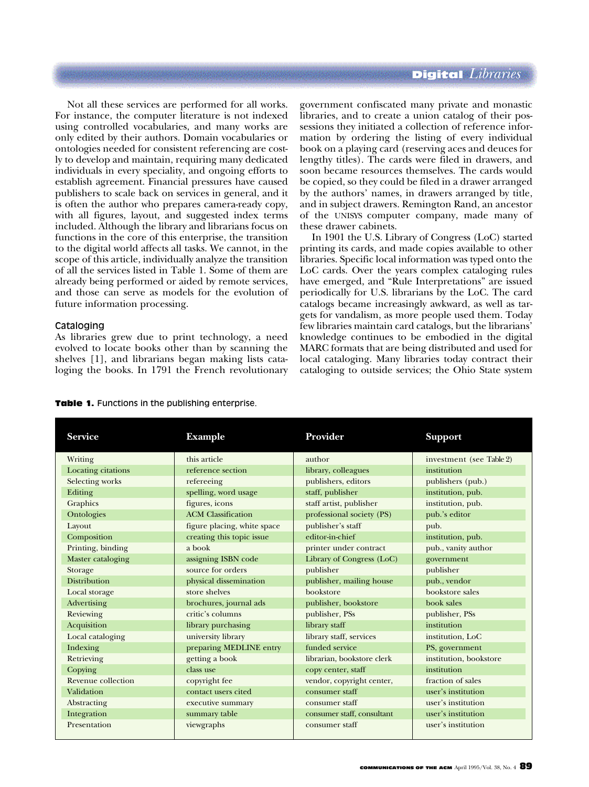Not all these services are performed for all works. For instance, the computer literature is not indexed using controlled vocabularies, and many works are only edited by their authors. Domain vocabularies or ontologies needed for consistent referencing are costly to develop and maintain, requiring many dedicated individuals in every speciality, and ongoing efforts to establish agreement. Financial pressures have caused publishers to scale back on services in general, and it is often the author who prepares camera-ready copy, with all figures, layout, and suggested index terms included. Although the library and librarians focus on functions in the core of this enterprise, the transition to the digital world affects all tasks. We cannot, in the scope of this article, individually analyze the transition of all the services listed in Table 1. Some of them are already being performed or aided by remote services, and those can serve as models for the evolution of future information processing.

#### Cataloging

As libraries grew due to print technology, a need evolved to locate books other than by scanning the shelves [1], and librarians began making lists cataloging the books. In 1791 the French revolutionary

government confiscated many private and monastic libraries, and to create a union catalog of their possessions they initiated a collection of reference information by ordering the listing of every individual book on a playing card (reserving aces and deuces for lengthy titles). The cards were filed in drawers, and soon became resources themselves. The cards would be copied, so they could be filed in a drawer arranged by the authors' names, in drawers arranged by title, and in subject drawers. Remington Rand, an ancestor of the UNISYS computer company, made many of these drawer cabinets.

In 1901 the U.S. Library of Congress (LoC) started printing its cards, and made copies available to other libraries. Specific local information was typed onto the LoC cards. Over the years complex cataloging rules have emerged, and "Rule Interpretations" are issued periodically for U.S. librarians by the LoC. The card catalogs became increasingly awkward, as well as targets for vandalism, as more people used them. Today few libraries maintain card catalogs, but the librarians' knowledge continues to be embodied in the digital MARC formats that are being distributed and used for local cataloging. Many libraries today contract their cataloging to outside services; the Ohio State system

| <b>Table 1.</b> Functions in the publishing enterprise. |  |  |  |  |  |  |  |
|---------------------------------------------------------|--|--|--|--|--|--|--|
|---------------------------------------------------------|--|--|--|--|--|--|--|

| <b>Service</b>      | <b>Example</b>              | Provider                   | <b>Support</b>           |
|---------------------|-----------------------------|----------------------------|--------------------------|
| Writing             | this article                | author                     | investment (see Table 2) |
| Locating citations  | reference section           | library, colleagues        | institution              |
| Selecting works     | refereeing                  | publishers, editors        | publishers (pub.)        |
| Editing             | spelling, word usage        | staff, publisher           | institution, pub.        |
| Graphics            | figures, icons              | staff artist, publisher    | institution, pub.        |
| Ontologies          | <b>ACM</b> Classification   | professional society (PS)  | pub.'s editor            |
| Layout              | figure placing, white space | publisher's staff          | pub.                     |
| Composition         | creating this topic issue   | editor-in-chief            | institution, pub.        |
| Printing, binding   | a book                      | printer under contract     | pub., vanity author      |
| Master cataloging   | assigning ISBN code         | Library of Congress (LoC)  | government               |
| Storage             | source for orders           | publisher                  | publisher                |
| <b>Distribution</b> | physical dissemination      | publisher, mailing house   | pub., vendor             |
| Local storage       | store shelves               | bookstore                  | bookstore sales          |
| Advertising         | brochures, journal ads      | publisher, bookstore       | book sales               |
| Reviewing           | critic's columns            | publisher, PSs             | publisher, PSs           |
| Acquisition         | library purchasing          | library staff              | institution              |
| Local cataloging    | university library          | library staff, services    | institution, LoC         |
| Indexing            | preparing MEDLINE entry     | funded service             | PS, government           |
| Retrieving          | getting a book              | librarian, bookstore clerk | institution, bookstore   |
| Copying             | class use                   | copy center, staff         | institution              |
| Revenue collection  | copyright fee               | vendor, copyright center,  | fraction of sales        |
| Validation          | contact users cited         | consumer staff             | user's institution       |
| Abstracting         | executive summary           | consumer staff             | user's institution       |
| Integration         | summary table               | consumer staff, consultant | user's institution       |
| Presentation        | viewgraphs                  | consumer staff             | user's institution       |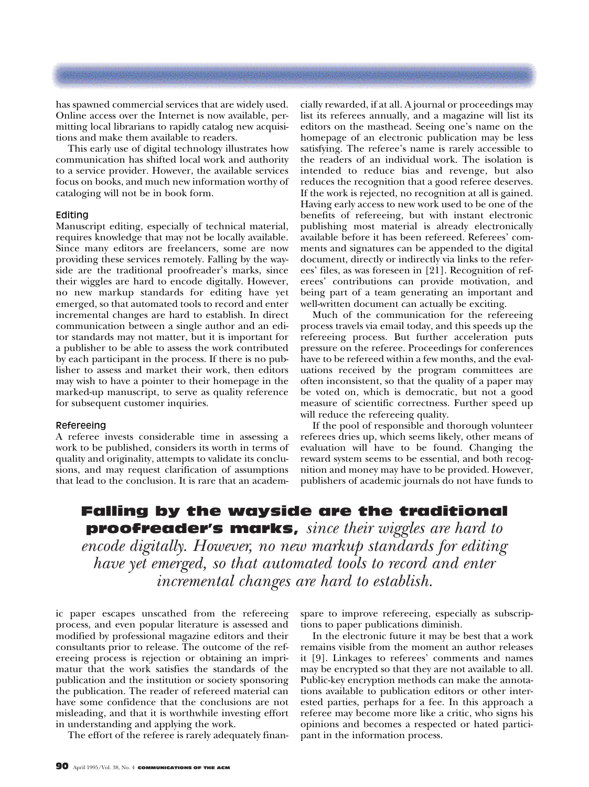has spawned commercial services that are widely used. Online access over the Internet is now available, permitting local librarians to rapidly catalog new acquisitions and make them available to readers.

This early use of digital technology illustrates how communication has shifted local work and authority to a service provider. However, the available services focus on books, and much new information worthy of cataloging will not be in book form.

#### Editing

Manuscript editing, especially of technical material, requires knowledge that may not be locally available. Since many editors are freelancers, some are now providing these services remotely. Falling by the wayside are the traditional proofreader's marks, since their wiggles are hard to encode digitally. However, no new markup standards for editing have yet emerged, so that automated tools to record and enter incremental changes are hard to establish. In direct communication between a single author and an editor standards may not matter, but it is important for a publisher to be able to assess the work contributed by each participant in the process. If there is no publisher to assess and market their work, then editors may wish to have a pointer to their homepage in the marked-up manuscript, to serve as quality reference for subsequent customer inquiries.

#### Refereeing

A referee invests considerable time in assessing a work to be published, considers its worth in terms of quality and originality, attempts to validate its conclusions, and may request clarification of assumptions that lead to the conclusion. It is rare that an academ-

cially rewarded, if at all. A journal or proceedings may list its referees annually, and a magazine will list its editors on the masthead. Seeing one's name on the homepage of an electronic publication may be less satisfying. The referee's name is rarely accessible to the readers of an individual work. The isolation is intended to reduce bias and revenge, but also reduces the recognition that a good referee deserves. If the work is rejected, no recognition at all is gained. Having early access to new work used to be one of the benefits of refereeing, but with instant electronic publishing most material is already electronically available before it has been refereed. Referees' comments and signatures can be appended to the digital document, directly or indirectly via links to the referees' files, as was foreseen in [21]. Recognition of referees' contributions can provide motivation, and being part of a team generating an important and well-written document can actually be exciting.

Much of the communication for the refereeing process travels via email today, and this speeds up the refereeing process. But further acceleration puts pressure on the referee. Proceedings for conferences have to be refereed within a few months, and the evaluations received by the program committees are often inconsistent, so that the quality of a paper may be voted on, which is democratic, but not a good measure of scientific correctness. Further speed up will reduce the refereeing quality.

If the pool of responsible and thorough volunteer referees dries up, which seems likely, other means of evaluation will have to be found. Changing the reward system seems to be essential, and both recognition and money may have to be provided. However, publishers of academic journals do not have funds to

# Falling by the wayside are the traditional proofreader's marks, *since their wiggles are hard to encode digitally. However, no new markup standards for editing have yet emerged, so that automated tools to record and enter incremental changes are hard to establish.*

ic paper escapes unscathed from the refereeing process, and even popular literature is assessed and modified by professional magazine editors and their consultants prior to release. The outcome of the refereeing process is rejection or obtaining an imprimatur that the work satisfies the standards of the publication and the institution or society sponsoring the publication. The reader of refereed material can have some confidence that the conclusions are not misleading, and that it is worthwhile investing effort in understanding and applying the work.

The effort of the referee is rarely adequately finan-

spare to improve refereeing, especially as subscriptions to paper publications diminish.

In the electronic future it may be best that a work remains visible from the moment an author releases it [9]. Linkages to referees' comments and names may be encrypted so that they are not available to all. Public-key encryption methods can make the annotations available to publication editors or other interested parties, perhaps for a fee. In this approach a referee may become more like a critic, who signs his opinions and becomes a respected or hated participant in the information process.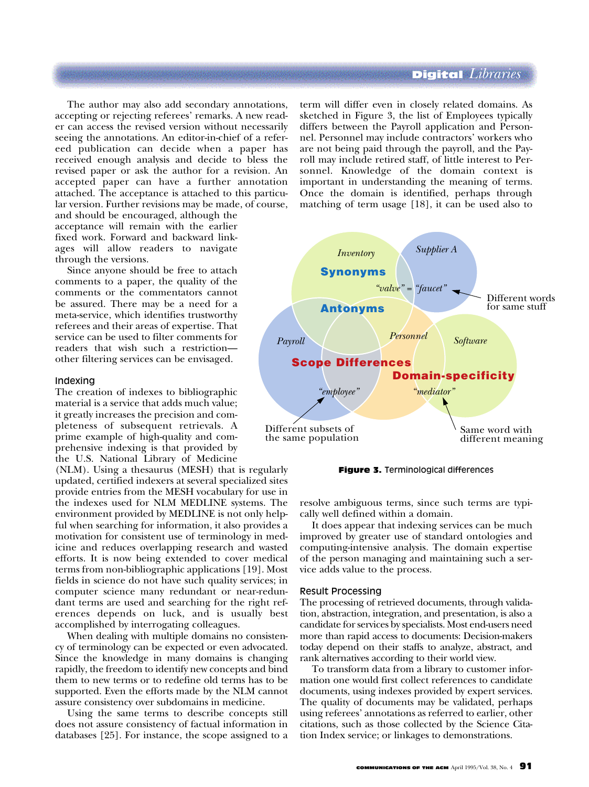The author may also add secondary annotations, accepting or rejecting referees' remarks. A new reader can access the revised version without necessarily seeing the annotations. An editor-in-chief of a refereed publication can decide when a paper has received enough analysis and decide to bless the revised paper or ask the author for a revision. An accepted paper can have a further annotation attached. The acceptance is attached to this particular version. Further revisions may be made, of course, and should be encouraged, although the

acceptance will remain with the earlier fixed work. Forward and backward linkages will allow readers to navigate through the versions.

Since anyone should be free to attach comments to a paper, the quality of the comments or the commentators cannot be assured. There may be a need for a meta-service, which identifies trustworthy referees and their areas of expertise. That service can be used to filter comments for readers that wish such a restriction other filtering services can be envisaged.

#### Indexing

The creation of indexes to bibliographic material is a service that adds much value; it greatly increases the precision and completeness of subsequent retrievals. A prime example of high-quality and comprehensive indexing is that provided by the U.S. National Library of Medicine

(NLM). Using a thesaurus (MESH) that is regularly updated, certified indexers at several specialized sites provide entries from the MESH vocabulary for use in the indexes used for NLM MEDLINE systems. The environment provided by MEDLINE is not only helpful when searching for information, it also provides a motivation for consistent use of terminology in medicine and reduces overlapping research and wasted efforts. It is now being extended to cover medical terms from non-bibliographic applications [19]. Most fields in science do not have such quality services; in computer science many redundant or near-redundant terms are used and searching for the right references depends on luck, and is usually best accomplished by interrogating colleagues.

When dealing with multiple domains no consistency of terminology can be expected or even advocated. Since the knowledge in many domains is changing rapidly, the freedom to identify new concepts and bind them to new terms or to redefine old terms has to be supported. Even the efforts made by the NLM cannot assure consistency over subdomains in medicine.

Using the same terms to describe concepts still does not assure consistency of factual information in databases [25]. For instance, the scope assigned to a

term will differ even in closely related domains. As sketched in Figure 3, the list of Employees typically differs between the Payroll application and Personnel. Personnel may include contractors' workers who are not being paid through the payroll, and the Payroll may include retired staff, of little interest to Personnel. Knowledge of the domain context is important in understanding the meaning of terms. Once the domain is identified, perhaps through matching of term usage [18], it can be used also to





resolve ambiguous terms, since such terms are typically well defined within a domain.

It does appear that indexing services can be much improved by greater use of standard ontologies and computing-intensive analysis. The domain expertise of the person managing and maintaining such a service adds value to the process.

#### Result Processing

The processing of retrieved documents, through validation, abstraction, integration, and presentation, is also a candidate for services by specialists. Most end-users need more than rapid access to documents: Decision-makers today depend on their staffs to analyze, abstract, and rank alternatives according to their world view.

To transform data from a library to customer information one would first collect references to candidate documents, using indexes provided by expert services. The quality of documents may be validated, perhaps using referees' annotations as referred to earlier, other citations, such as those collected by the Science Citation Index service; or linkages to demonstrations.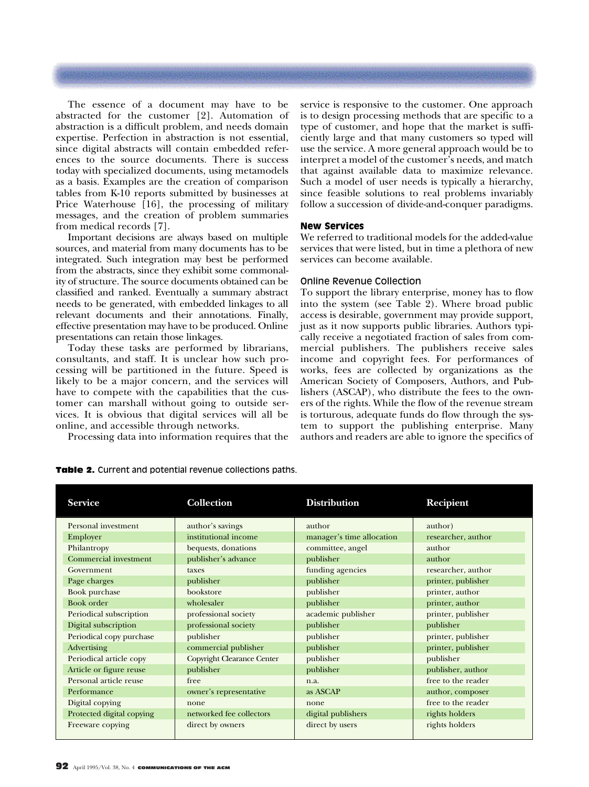The essence of a document may have to be abstracted for the customer [2]. Automation of abstraction is a difficult problem, and needs domain expertise. Perfection in abstraction is not essential, since digital abstracts will contain embedded references to the source documents. There is success today with specialized documents, using metamodels as a basis. Examples are the creation of comparison tables from K-10 reports submitted by businesses at Price Waterhouse [16], the processing of military messages, and the creation of problem summaries from medical records [7].

Important decisions are always based on multiple sources, and material from many documents has to be integrated. Such integration may best be performed from the abstracts, since they exhibit some commonality of structure. The source documents obtained can be classified and ranked. Eventually a summary abstract needs to be generated, with embedded linkages to all relevant documents and their annotations. Finally, effective presentation may have to be produced. Online presentations can retain those linkages.

Today these tasks are performed by librarians, consultants, and staff. It is unclear how such processing will be partitioned in the future. Speed is likely to be a major concern, and the services will have to compete with the capabilities that the customer can marshall without going to outside services. It is obvious that digital services will all be online, and accessible through networks.

Processing data into information requires that the

service is responsive to the customer. One approach is to design processing methods that are specific to a type of customer, and hope that the market is sufficiently large and that many customers so typed will use the service. A more general approach would be to interpret a model of the customer's needs, and match that against available data to maximize relevance. Such a model of user needs is typically a hierarchy, since feasible solutions to real problems invariably follow a succession of divide-and-conquer paradigms.

#### New Services

We referred to traditional models for the added-value services that were listed, but in time a plethora of new services can become available.

#### Online Revenue Collection

To support the library enterprise, money has to flow into the system (see Table 2). Where broad public access is desirable, government may provide support, just as it now supports public libraries. Authors typically receive a negotiated fraction of sales from commercial publishers. The publishers receive sales income and copyright fees. For performances of works, fees are collected by organizations as the American Society of Composers, Authors, and Publishers (ASCAP), who distribute the fees to the owners of the rights. While the flow of the revenue stream is torturous, adequate funds do flow through the system to support the publishing enterprise. Many authors and readers are able to ignore the specifics of

| <b>Service</b>            | <b>Collection</b>                 | <b>Distribution</b>       | <b>Recipient</b>   |
|---------------------------|-----------------------------------|---------------------------|--------------------|
| Personal investment       | author's savings                  | author                    | author)            |
| Employer                  | institutional income              | manager's time allocation | researcher, author |
| Philantropy               | bequests, donations               | committee, angel          | author             |
| Commercial investment     | publisher's advance               | publisher                 | author             |
| Government                | taxes                             | funding agencies          | researcher, author |
| Page charges              | publisher                         | publisher                 | printer, publisher |
| Book purchase             | bookstore                         | publisher                 | printer, author    |
| Book order                | wholesaler                        | publisher                 | printer, author    |
| Periodical subscription   | professional society              | academic publisher        | printer, publisher |
| Digital subscription      | professional society              | publisher                 | publisher          |
| Periodical copy purchase  | publisher                         | publisher                 | printer, publisher |
| Advertising               | commercial publisher              | publisher                 | printer, publisher |
| Periodical article copy   | <b>Copyright Clearance Center</b> | publisher                 | publisher          |
| Article or figure reuse   | publisher                         | publisher                 | publisher, author  |
| Personal article reuse    | free                              | n.a.                      | free to the reader |
| Performance               | owner's representative            | as ASCAP                  | author, composer   |
| Digital copying           | none                              | none                      | free to the reader |
| Protected digital copying | networked fee collectors          | digital publishers        | rights holders     |
| Freeware copying          | direct by owners                  | direct by users           | rights holders     |

Table 2. Current and potential revenue collections paths.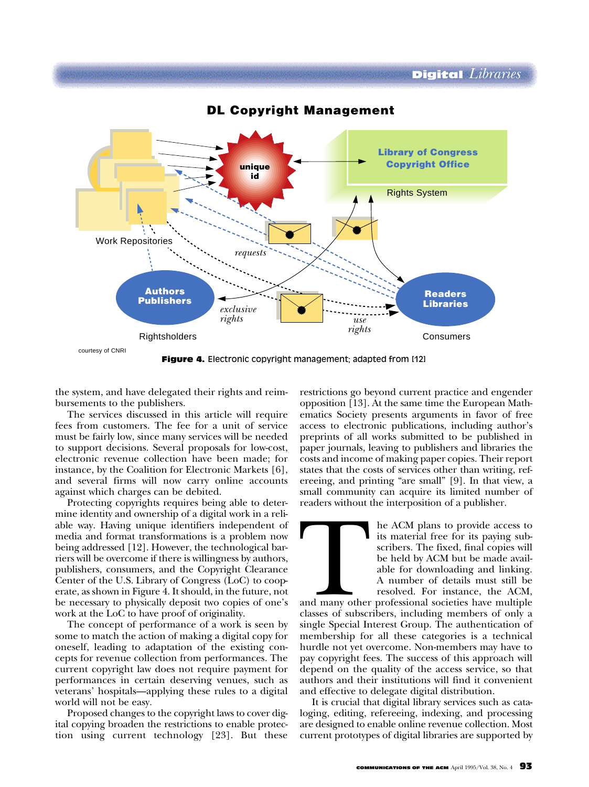

**DL Copyright Management**

the system, and have delegated their rights and reimbursements to the publishers.

The services discussed in this article will require fees from customers. The fee for a unit of service must be fairly low, since many services will be needed to support decisions. Several proposals for low-cost, electronic revenue collection have been made; for instance, by the Coalition for Electronic Markets [6], and several firms will now carry online accounts against which charges can be debited.

Protecting copyrights requires being able to determine identity and ownership of a digital work in a reliable way. Having unique identifiers independent of media and format transformations is a problem now being addressed [12]. However, the technological barriers will be overcome if there is willingness by authors, publishers, consumers, and the Copyright Clearance Center of the U.S. Library of Congress (LoC) to cooperate, as shown in Figure 4. It should, in the future, not be necessary to physically deposit two copies of one's work at the LoC to have proof of originality.

The concept of performance of a work is seen by some to match the action of making a digital copy for oneself, leading to adaptation of the existing concepts for revenue collection from performances. The current copyright law does not require payment for performances in certain deserving venues, such as veterans' hospitals—applying these rules to a digital world will not be easy.

Proposed changes to the copyright laws to cover digital copying broaden the restrictions to enable protection using current technology [23]. But these

restrictions go beyond current practice and engender opposition [13]. At the same time the European Mathematics Society presents arguments in favor of free access to electronic publications, including author's preprints of all works submitted to be published in paper journals, leaving to publishers and libraries the costs and income of making paper copies. Their report states that the costs of services other than writing, refereeing, and printing "are small" [9]. In that view, a small community can acquire its limited number of readers without the interposition of a publisher.

The ACM plans to provide access to<br>its material free for its paying sub-<br>scribers. The fixed, final copies will<br>be held by ACM but be made avail-<br>able for downloading and linking.<br>A number of details must still be<br>resolved its material free for its paying subscribers. The fixed, final copies will be held by ACM but be made available for downloading and linking. A number of details must still be resolved. For instance, the ACM,

and many other professional societies have multiple classes of subscribers, including members of only a single Special Interest Group. The authentication of membership for all these categories is a technical hurdle not yet overcome. Non-members may have to pay copyright fees. The success of this approach will depend on the quality of the access service, so that authors and their institutions will find it convenient and effective to delegate digital distribution.

It is crucial that digital library services such as cataloging, editing, refereeing, indexing, and processing are designed to enable online revenue collection. Most current prototypes of digital libraries are supported by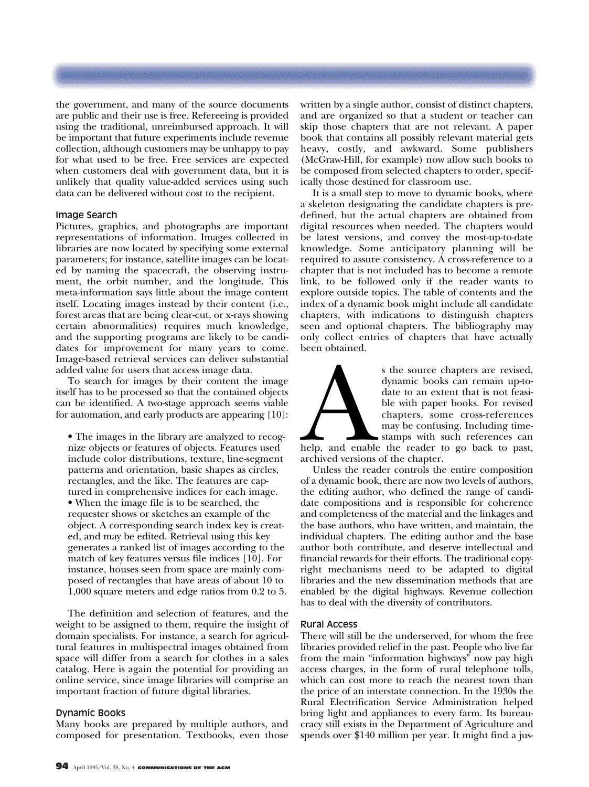the government, and many of the source documents are public and their use is free. Refereeing is provided using the traditional, unreimbursed approach. It will be important that future experiments include revenue collection, although customers may be unhappy to pay for what used to be free. Free services are expected when customers deal with government data, but it is unlikely that quality value-added services using such data can be delivered without cost to the recipient.

#### Image Search

Pictures, graphics, and photographs are important representations of information. Images collected in libraries are now located by specifying some external parameters; for instance, satellite images can be located by naming the spacecraft, the observing instrument, the orbit number, and the longitude. This meta-information says little about the image content itself. Locating images instead by their content (i.e., forest areas that are being clear-cut, or x-rays showing certain abnormalities) requires much knowledge, and the supporting programs are likely to be candidates for improvement for many years to come. Image-based retrieval services can deliver substantial added value for users that access image data.

To search for images by their content the image itself has to be processed so that the contained objects can be identified. A two-stage approach seems viable for automation, and early products are appearing [10]:

• The images in the library are analyzed to recognize objects or features of objects. Features used include color distributions, texture, line-segment patterns and orientation, basic shapes as circles, rectangles, and the like. The features are captured in comprehensive indices for each image. • When the image file is to be searched, the requester shows or sketches an example of the object. A corresponding search index key is created, and may be edited. Retrieval using this key generates a ranked list of images according to the match of key features versus file indices [10]. For instance, houses seen from space are mainly composed of rectangles that have areas of about 10 to 1,000 square meters and edge ratios from 0.2 to 5.

The definition and selection of features, and the weight to be assigned to them, require the insight of domain specialists. For instance, a search for agricultural features in multispectral images obtained from space will differ from a search for clothes in a sales catalog. Here is again the potential for providing an online service, since image libraries will comprise an important fraction of future digital libraries.

#### Dynamic Books

Many books are prepared by multiple authors, and composed for presentation. Textbooks, even those written by a single author, consist of distinct chapters, and are organized so that a student or teacher can skip those chapters that are not relevant. A paper book that contains all possibly relevant material gets heavy, costly, and awkward. Some publishers (McGraw-Hill, for example) now allow such books to be composed from selected chapters to order, specifically those destined for classroom use.

It is a small step to move to dynamic books, where a skeleton designating the candidate chapters is predefined, but the actual chapters are obtained from digital resources when needed. The chapters would be latest versions, and convey the most-up-to-date knowledge. Some anticipatory planning will be required to assure consistency. A cross-reference to a chapter that is not included has to become a remote link, to be followed only if the reader wants to explore outside topics. The table of contents and the index of a dynamic book might include all candidate chapters, with indications to distinguish chapters seen and optional chapters. The bibliography may only collect entries of chapters that have actually been obtained.



s the source chapters are revised,<br>dynamic books can remain up-to-<br>date to an extent that is not feasi-<br>ble with paper books. For revised<br>chapters, some cross-references<br>may be confusing. Including time-<br>stamps with such r dynamic books can remain up-todate to an extent that is not feasible with paper books. For revised chapters, some cross-references may be confusing. Including timestamps with such references can

help, and enable the reader to go back to past, archived versions of the chapter.

Unless the reader controls the entire composition of a dynamic book, there are now two levels of authors, the editing author, who defined the range of candidate compositions and is responsible for coherence and completeness of the material and the linkages and the base authors, who have written, and maintain, the individual chapters. The editing author and the base author both contribute, and deserve intellectual and financial rewards for their efforts. The traditional copyright mechanisms need to be adapted to digital libraries and the new dissemination methods that are enabled by the digital highways. Revenue collection has to deal with the diversity of contributors.

#### Rural Access

There will still be the underserved, for whom the free libraries provided relief in the past. People who live far from the main "information highways" now pay high access charges, in the form of rural telephone tolls, which can cost more to reach the nearest town than the price of an interstate connection. In the 1930s the Rural Electrification Service Administration helped bring light and appliances to every farm. Its bureaucracy still exists in the Department of Agriculture and spends over \$140 million per year. It might find a jus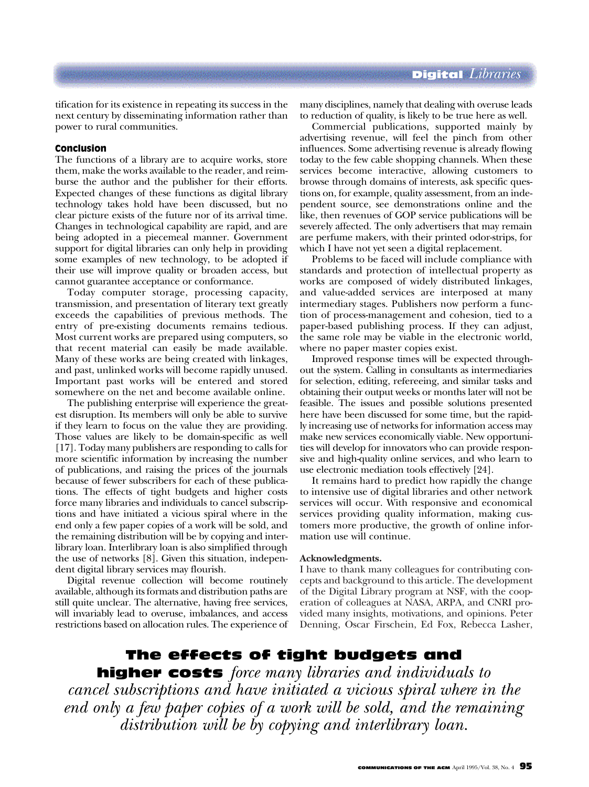tification for its existence in repeating its success in the next century by disseminating information rather than power to rural communities.

#### Conclusion

The functions of a library are to acquire works, store them, make the works available to the reader, and reimburse the author and the publisher for their efforts. Expected changes of these functions as digital library technology takes hold have been discussed, but no clear picture exists of the future nor of its arrival time. Changes in technological capability are rapid, and are being adopted in a piecemeal manner. Government support for digital libraries can only help in providing some examples of new technology, to be adopted if their use will improve quality or broaden access, but cannot guarantee acceptance or conformance.

Today computer storage, processing capacity, transmission, and presentation of literary text greatly exceeds the capabilities of previous methods. The entry of pre-existing documents remains tedious. Most current works are prepared using computers, so that recent material can easily be made available. Many of these works are being created with linkages, and past, unlinked works will become rapidly unused. Important past works will be entered and stored somewhere on the net and become available online.

The publishing enterprise will experience the greatest disruption. Its members will only be able to survive if they learn to focus on the value they are providing. Those values are likely to be domain-specific as well [17]. Today many publishers are responding to calls for more scientific information by increasing the number of publications, and raising the prices of the journals because of fewer subscribers for each of these publications. The effects of tight budgets and higher costs force many libraries and individuals to cancel subscriptions and have initiated a vicious spiral where in the end only a few paper copies of a work will be sold, and the remaining distribution will be by copying and interlibrary loan. Interlibrary loan is also simplified through the use of networks [8]. Given this situation, independent digital library services may flourish.

Digital revenue collection will become routinely available, although its formats and distribution paths are still quite unclear. The alternative, having free services, will invariably lead to overuse, imbalances, and access restrictions based on allocation rules. The experience of many disciplines, namely that dealing with overuse leads to reduction of quality, is likely to be true here as well.

Commercial publications, supported mainly by advertising revenue, will feel the pinch from other influences. Some advertising revenue is already flowing today to the few cable shopping channels. When these services become interactive, allowing customers to browse through domains of interests, ask specific questions on, for example, quality assessment, from an independent source, see demonstrations online and the like, then revenues of GOP service publications will be severely affected. The only advertisers that may remain are perfume makers, with their printed odor-strips, for which I have not yet seen a digital replacement.

Problems to be faced will include compliance with standards and protection of intellectual property as works are composed of widely distributed linkages, and value-added services are interposed at many intermediary stages. Publishers now perform a function of process-management and cohesion, tied to a paper-based publishing process. If they can adjust, the same role may be viable in the electronic world, where no paper master copies exist.

Improved response times will be expected throughout the system. Calling in consultants as intermediaries for selection, editing, refereeing, and similar tasks and obtaining their output weeks or months later will not be feasible. The issues and possible solutions presented here have been discussed for some time, but the rapidly increasing use of networks for information access may make new services economically viable. New opportunities will develop for innovators who can provide responsive and high-quality online services, and who learn to use electronic mediation tools effectively [24].

It remains hard to predict how rapidly the change to intensive use of digital libraries and other network services will occur. With responsive and economical services providing quality information, making customers more productive, the growth of online information use will continue.

#### **Acknowledgments.**

I have to thank many colleagues for contributing concepts and background to this article. The development of the Digital Library program at NSF, with the cooperation of colleagues at NASA, ARPA, and CNRI provided many insights, motivations, and opinions. Peter Denning, Oscar Firschein, Ed Fox, Rebecca Lasher,

The effects of tight budgets and

higher costs *force many libraries and individuals to cancel subscriptions and have initiated a vicious spiral where in the end only a few paper copies of a work will be sold, and the remaining distribution will be by copying and interlibrary loan.*